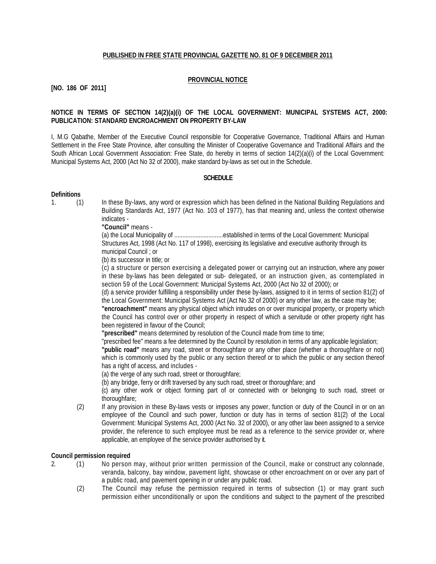## **PUBLISHED IN FREE STATE PROVINCIAL GAZETTE NO. 81 OF 9 DECEMBER 2011**

#### **PROVINCIAL NOTICE**

# **[NO. 186 OF 2011]**

## **NOTICE IN TERMS OF SECTION 14(2)(a)(i) OF THE LOCAL GOVERNMENT: MUNICIPAL SYSTEMS ACT, 2000: PUBLICATION: STANDARD ENCROACHMENT ON PROPERTY BY-LAW**

I, M.G Qabathe, Member of the Executive Council responsible for Cooperative Governance, Traditional Affairs and Human Settlement in the Free State Province, after consulting the Minister of Cooperative Governance and Traditional Affairs and the South African Local Government Association: Free State, do hereby in terms of section 14(2)(a)(i) of the Local Government: Municipal Systems Act, 2000 (Act No 32 of 2000), make standard by-laws as set out in the Schedule.

#### **SCHEDULE**

#### **Definitions**

- 
- 1. (1) In these By-laws, any word or expression which has been defined in the National Building Regulations and Building Standards Act, 1977 (Act No. 103 of 1977), has that meaning and, unless the context otherwise indicates -

**"Council"** means -

(a) the Local Municipality of ..............................established in terms of the Local Government: Municipal Structures Act, 1998 (Act No. 117 of 1998), exercising its legislative and executive authority through its municipal Council ; or

(b) its successor in title; or

(c) a structure or person exercising a delegated power or carrying out an instruction, where any power in these by-laws has been delegated or sub- delegated, or an instruction given, as contemplated in section 59 of the Local Government: Municipal Systems Act, 2000 (Act No 32 of 2000); or

(d) a service provider fulfilling a responsibility under these by-laws, assigned to it in terms of section 81(2) of the Local Government: Municipal Systems Act (Act No 32 of 2000) or any other law, as the case may be;

**"encroachment"** means any physical object which intrudes on or over municipal property, or property which the Council has control over or other property in respect of which a servitude or other property right has been registered in favour of the Council;

**"prescribed"** means determined by resolution of the Council made from time to time;

"prescribed fee" means a fee determined by the Council by resolution in terms of any applicable legislation;

**"public road"** means any road, street or thoroughfare or any other place (whether a thoroughfare or not) which is commonly used by the public or any section thereof or to which the public or any section thereof has a right of access, and includes -

(a) the verge of any such road, street or thoroughfare;

(b) any bridge, ferry or drift traversed by any such road, street or thoroughfare; and

(c) any other work or object forming part of or connected with or belonging to such road, street or thoroughfare;

(2) If any provision in these By-laws vests or imposes any power, function or duty of the Council in or on an employee of the Council and such power, function or duty has in terms of section 81(2) of the Local Government: Municipal Systems Act, 2000 (Act No. 32 of 2000), or any other law been assigned to a service provider, the reference to such employee must be read as a reference to the service provider or, where applicable, an employee of the service provider authorised by it.

#### **Council permission required**

- 2. (1) No person may, without prior written permission of the Council, make or construct any colonnade, veranda, balcony, bay window, pavement light, showcase or other encroachment on or over any part of a public road, and pavement opening in or under any public road.
	- (2) The Council may refuse the permission required in terms of subsection (1) or may grant such permission either unconditionally or upon the conditions and subject to the payment of the prescribed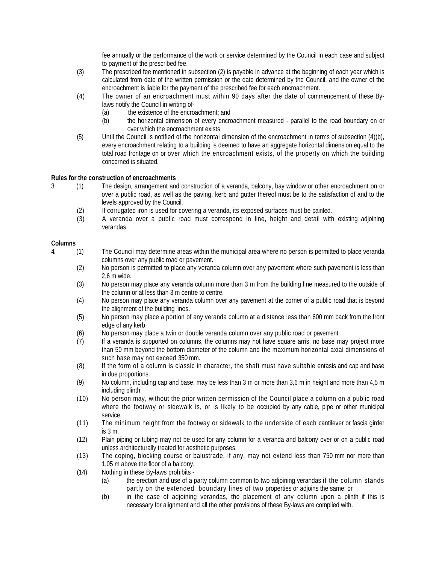fee annually or the performance of the work or service determined by the Council in each case and subject to payment of the prescribed fee.

- (3) The prescribed fee mentioned in subsection (2) is payable in advance at the beginning of each year which is calculated from date of the written permission or the date determined by the Council, and the owner of the encroachment is liable for the payment of the prescribed fee for each encroachment.
- (4) The owner of an encroachment must within 90 days after the date of commencement of these Bylaws notify the Council in writing of-
	- (a) the existence of the encroachment; and
	- (b) the horizontal dimension of every encroachment measured parallel to the road boundary on or over which the encroachment exists.
- (5) Until the Council is notified of the horizontal dimension of the encroachment in terms of subsection (4)(b), every encroachment relating to a building is deemed to have an aggregate horizontal dimension equal to the total road frontage on or over which the encroachment exists, of the property on which the building concerned is situated.

# **Rules for the construction of encroachments**

- 3. (1) The design, arrangement and construction of a veranda, balcony, bay window or other encroachment on or over a public road, as well as the paving, kerb and gutter thereof must be to the satisfaction of and to the levels approved by the Council.
	- (2) If corrugated iron is used for covering a veranda, its exposed surfaces must be painted.
	- (3) A veranda over a public road must correspond in line, height and detail with existing adjoining verandas.

## **Columns**

- 4. (1) The Council may determine areas within the municipal area where no person is permitted to place veranda columns over any public road or pavement.
	- (2) No person is permitted to place any veranda column over any pavement where such pavement is less than 2,6 m wide.
	- (3) No person may place any veranda column more than 3 m from the building line measured to the outside of the column or at less than 3 m centre to centre.
	- (4) No person may place any veranda column over any pavement at the corner of a public road that is beyond the alignment of the building lines.
	- (5) No person may place a portion of any veranda column at a distance less than 600 mm back from the front edge of any kerb.
	- (6) No person may place a twin or double veranda column over any public road or pavement.
	- (7) If a veranda is supported on columns, the columns may not have square arris, no base may project more than 50 mm beyond the bottom diameter of the column and the maximum horizontal axial dimensions of such base may not exceed 350 mm.
	- (8) If the form of a column is classic in character, the shaft must have suitable entasis and cap and base in due proportions.
	- (9) No column, including cap and base, may be less than 3 m or more than 3,6 m in height and more than 4,5 m including plinth.
	- (10) No person may, without the prior written permission of the Council place a column on a public road where the footway or sidewalk is, or is likely to be occupied by any cable, pipe or other municipal service.
	- (11) The minimum height from the footway or sidewalk to the underside of each cantilever or fascia girder is 3 m.
	- (12) Plain piping or tubing may not be used for any column for a veranda and balcony over or on a public road unless architecturally treated for aesthetic purposes.
	- (13) The coping, blocking course or balustrade, if any, may not extend less than 750 mm nor more than 1,05 m above the floor of a balcony.
	- (14) Nothing in these By-laws prohibits
		- (a) the erection and use of a party column common to two adjoining verandas if the column stands partly on the extended boundary lines of two properties or adjoins the same; or
		- (b) in the case of adjoining verandas, the placement of any column upon a plinth if this is necessary for alignment and all the other provisions of these By-laws are complied with.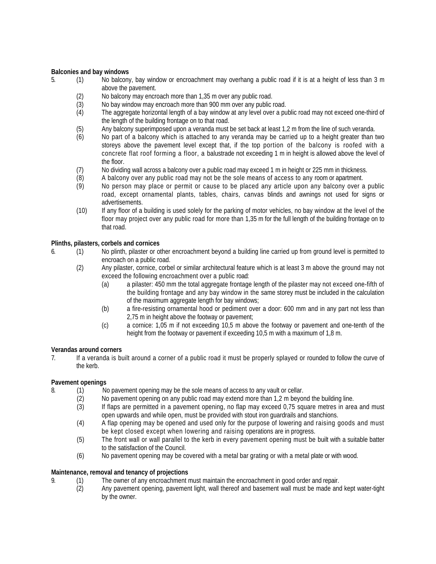#### **Balconies and bay windows**

- 5. (1) No balcony, bay window or encroachment may overhang a public road if it is at a height of less than 3 m above the pavement.
	-
	- (2) No balcony may encroach more than 1,35 m over any public road.<br>(3) No bay window may encroach more than 900 mm over any public r (3) No bay window may encroach more than 900 mm over any public road.<br>(4) The aggregate horizontal length of a bay window at any level over a pu
	- The aggregate horizontal length of a bay window at any level over a public road may not exceed one-third of the length of the building frontage on to that road.
	- (5) Any balcony superimposed upon a veranda must be set back at least 1,2 m from the line of such veranda.
	- (6) No part of a balcony which is attached to any veranda may be carried up to a height greater than two storeys above the pavement level except that, if the top portion of the balcony is roofed with a concrete flat roof forming a floor, a balustrade not exceeding 1 m in height is allowed above the level of the floor.
	- (7) No dividing wall across a balcony over a public road may exceed 1 m in height or 225 mm in thickness.
	- (8) A balcony over any public road may not be the sole means of access to any room or apartment.
	- (9) No person may place or permit or cause to be placed any article upon any balcony over a public road, except ornamental plants, tables, chairs, canvas blinds and awnings not used for signs or advertisements.
	- (10) If any floor of a building is used solely for the parking of motor vehicles, no bay window at the level of the floor may project over any public road for more than 1,35 m for the full length of the building frontage on to that road.

## **Plinths, pilasters, corbels and cornices**

- 6. (1) No plinth, pilaster or other encroachment beyond a building line carried up from ground level is permitted to encroach on a public road.
	- (2) Any pilaster, cornice, corbel or similar architectural feature which is at least 3 m above the ground may not exceed the following encroachment over a public road:
		- (a) a pilaster: 450 mm the total aggregate frontage length of the pilaster may not exceed one-fifth of the building frontage and any bay window in the same storey must be included in the calculation of the maximum aggregate length for bay windows;
		- (b) a fire-resisting ornamental hood or pediment over a door: 600 mm and in any part not less than 2,75 m in height above the footway or pavement;
		- (c) a cornice: 1,05 m if not exceeding 10,5 m above the footway or pavement and one-tenth of the height from the footway or pavement if exceeding 10,5 m with a maximum of 1,8 m.

## **Verandas around corners**

7. If a veranda is built around a corner of a public road it must be properly splayed or rounded to follow the curve of the kerb.

## **Pavement openings**

- 8. (1) No pavement opening may be the sole means of access to any vault or cellar.
	- (2) No pavement opening on any public road may extend more than 1,2 m beyond the building line.
	- (3) If flaps are permitted in a pavement opening, no flap may exceed 0,75 square metres in area and must open upwards and while open, must be provided with stout iron guardrails and stanchions.
	- (4) A flap opening may be opened and used only for the purpose of lowering and raising goods and must be kept closed except when lowering and raising operations are in progress.
	- (5) The front wall or wall parallel to the kerb in every pavement opening must be built with a suitable batter to the satisfaction of the Council.
	- (6) No pavement opening may be covered with a metal bar grating or with a metal plate or with wood.

## **Maintenance, removal and tenancy of projections**

- 9. (1) The owner of any encroachment must maintain the encroachment in good order and repair.<br>(2) Any pavement opening, pavement light, wall thereof and basement wall must be made and
	- Any pavement opening, pavement light, wall thereof and basement wall must be made and kept water-tight by the owner.